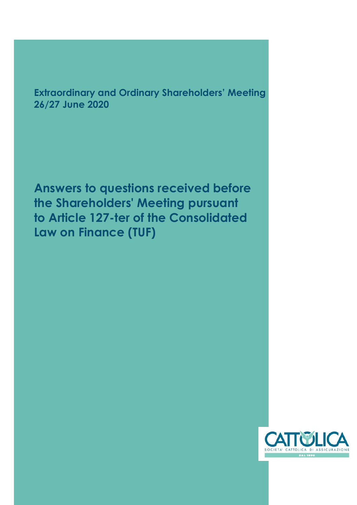**Extraordinary and Ordinary Shareholders' Meeting 26/27 June 2020**

**Answers to questions received before the Shareholders' Meeting pursuant to Article 127-ter of the Consolidated Law on Finance (TUF)**

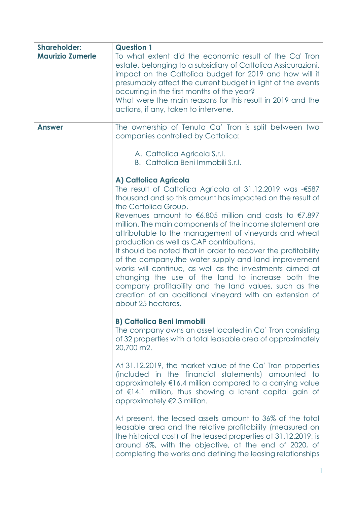| <b>Shareholder:</b><br><b>Maurizio Zumerle</b> | <b>Question 1</b><br>To what extent did the economic result of the Ca' Tron<br>estate, belonging to a subsidiary of Cattolica Assicurazioni,<br>impact on the Cattolica budget for 2019 and how will it<br>presumably affect the current budget in light of the events<br>occurring in the first months of the year?<br>What were the main reasons for this result in 2019 and the<br>actions, if any, taken to intervene.                                                                                                                                                                                                                                                                                                                                                                                                     |
|------------------------------------------------|--------------------------------------------------------------------------------------------------------------------------------------------------------------------------------------------------------------------------------------------------------------------------------------------------------------------------------------------------------------------------------------------------------------------------------------------------------------------------------------------------------------------------------------------------------------------------------------------------------------------------------------------------------------------------------------------------------------------------------------------------------------------------------------------------------------------------------|
| <b>Answer</b>                                  | The ownership of Tenuta Ca' Tron is split between two<br>companies controlled by Cattolica:<br>A. Cattolica Agricola S.r.l.                                                                                                                                                                                                                                                                                                                                                                                                                                                                                                                                                                                                                                                                                                    |
|                                                | B. Cattolica Beni Immobili S.r.I.<br>A) Cattolica Agricola<br>The result of Cattolica Agricola at 31.12.2019 was -€587<br>thousand and so this amount has impacted on the result of<br>the Cattolica Group.<br>Revenues amount to $6.805$ million and costs to $67.897$<br>million. The main components of the income statement are<br>attributable to the management of vineyards and wheat<br>production as well as CAP contributions.<br>It should be noted that in order to recover the profitability<br>of the company, the water supply and land improvement<br>works will continue, as well as the investments aimed at<br>changing the use of the land to increase both the<br>company profitability and the land values, such as the<br>creation of an additional vineyard with an extension of<br>about 25 hectares. |
|                                                | <b>B) Cattolica Beni Immobili</b><br>The company owns an asset located in Ca' Tron consisting<br>of 32 properties with a total leasable area of approximately<br>20,700 m2.<br>At 31.12.2019, the market value of the Ca' Tron properties<br>(included in the financial statements) amounted to                                                                                                                                                                                                                                                                                                                                                                                                                                                                                                                                |
|                                                | approximately €16.4 million compared to a carrying value<br>of €14.1 million, thus showing a latent capital gain of<br>approximately €2.3 million.                                                                                                                                                                                                                                                                                                                                                                                                                                                                                                                                                                                                                                                                             |
|                                                | At present, the leased assets amount to 36% of the total<br>leasable area and the relative profitability (measured on<br>the historical cost) of the leased properties at 31.12.2019, is<br>around 6%, with the objective, at the end of 2020, of<br>completing the works and defining the leasing relationships                                                                                                                                                                                                                                                                                                                                                                                                                                                                                                               |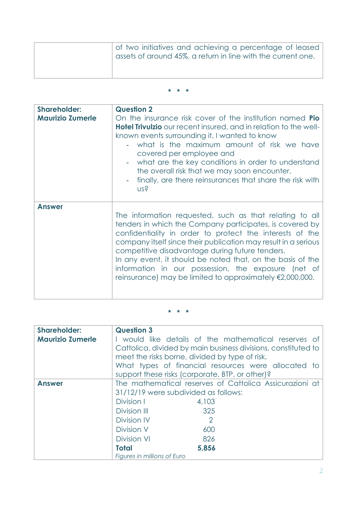| of two initiatives and achieving a percentage of leased<br>$\frac{1}{2}$ assets of around 45%, a return in line with the current one. |
|---------------------------------------------------------------------------------------------------------------------------------------|
|                                                                                                                                       |

## **\* \* \***

| <b>Shareholder:</b><br><b>Maurizio Zumerle</b> | <b>Question 2</b><br>On the insurance risk cover of the institution named <b>Pio</b><br><b>Hotel Trivulzio</b> our recent insured, and in relation to the well-<br>known events surrounding it, I wanted to know<br>what is the maximum amount of risk we have<br>covered per employee and<br>what are the key conditions in order to understand<br>the overall risk that we may soon encounter.<br>finally, are there reinsurances that share the risk with<br>US?                             |
|------------------------------------------------|-------------------------------------------------------------------------------------------------------------------------------------------------------------------------------------------------------------------------------------------------------------------------------------------------------------------------------------------------------------------------------------------------------------------------------------------------------------------------------------------------|
| <b>Answer</b>                                  | The information requested, such as that relating to all<br>tenders in which the Company participates, is covered by<br>confidentiality in order to protect the interests of the<br>company itself since their publication may result in a serious<br>competitive disadvantage during future tenders.<br>In any event, it should be noted that, on the basis of the<br>information in our possession, the exposure (net of<br>reinsurance) may be limited to approximately $\epsilon$ 2,000,000. |

| <b>Shareholder:</b>     | <b>Question 3</b>                                             |
|-------------------------|---------------------------------------------------------------|
| <b>Maurizio Zumerle</b> | I would like details of the mathematical reserves of          |
|                         | Cattolica, divided by main business divisions, constituted to |
|                         | meet the risks borne, divided by type of risk.                |
|                         | What types of financial resources were allocated to           |
|                         | support these risks (corporate, BTP, or other)?               |
| <b>Answer</b>           | The mathematical reserves of Cattolica Assicurazioni at       |
|                         | 31/12/19 were subdivided as follows:                          |
|                         | Division I<br>4,103                                           |
|                         | Division III<br>325                                           |
|                         | Division IV<br>2                                              |
|                         | Division V<br>600                                             |
|                         | <b>Division VI</b><br>826                                     |
|                         | 5,856<br><b>Total</b>                                         |
|                         | Figures in millions of Euro                                   |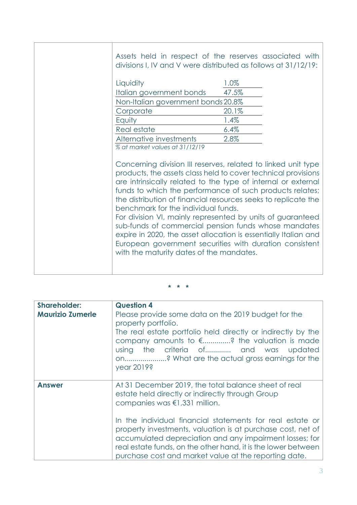Assets held in respect of the reserves associated with divisions I, IV and V were distributed as follows at 31/12/19:

| Liquidity                          | 1.0%  |
|------------------------------------|-------|
| Italian government bonds           | 47.5% |
| Non-Italian government bonds 20.8% |       |
| Corporate                          | 20.1% |
| Equity                             | 1.4%  |
| Real estate                        | 6.4%  |
| Alternative investments            | 2.8%  |
|                                    |       |

*% at market values at 31/12/19*

Concerning division III reserves, related to linked unit type products, the assets class held to cover technical provisions are intrinsically related to the type of internal or external funds to which the performance of such products relates; the distribution of financial resources seeks to replicate the benchmark for the individual funds.

For division VI, mainly represented by units of guaranteed sub-funds of commercial pension funds whose mandates expire in 2020, the asset allocation is essentially Italian and European government securities with duration consistent with the maturity dates of the mandates.

| <b>Shareholder:</b><br><b>Maurizio Zumerle</b> | <b>Question 4</b><br>Please provide some data on the 2019 budget for the<br>property portfolio.<br>The real estate portfolio held directly or indirectly by the<br>company amounts to $\notin$ ? the valuation is made<br>using the criteria of and was updated<br>on? What are the actual gross earnings for the<br>year 2019?                                                                                                                            |
|------------------------------------------------|------------------------------------------------------------------------------------------------------------------------------------------------------------------------------------------------------------------------------------------------------------------------------------------------------------------------------------------------------------------------------------------------------------------------------------------------------------|
| <b>Answer</b>                                  | At 31 December 2019, the total balance sheet of real<br>estate held directly or indirectly through Group<br>companies was €1,331 million.<br>In the individual financial statements for real estate or<br>property investments, valuation is at purchase cost, net of<br>accumulated depreciation and any impairment losses; for<br>real estate funds, on the other hand, it is the lower between<br>purchase cost and market value at the reporting date. |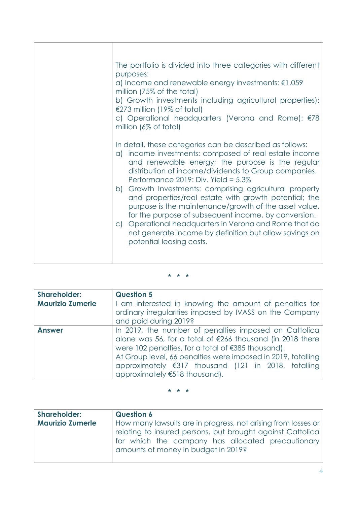| The portfolio is divided into three categories with different<br>purposes:<br>a) Income and renewable energy investments: $\epsilon$ 1,059<br>million (75% of the total)<br>b) Growth investments including agricultural properties):<br>€273 million (19% of total)<br>c) Operational headquarters (Verona and Rome): €78<br>million (6% of total)<br>In detail, these categories can be described as follows:<br>a) income investments: composed of real estate income                                                                |
|-----------------------------------------------------------------------------------------------------------------------------------------------------------------------------------------------------------------------------------------------------------------------------------------------------------------------------------------------------------------------------------------------------------------------------------------------------------------------------------------------------------------------------------------|
| and renewable energy; the purpose is the regular<br>distribution of income/dividends to Group companies.<br>Performance 2019: Div. Yield = $5.3\%$<br>b) Growth Investments: comprising agricultural property<br>and properties/real estate with growth potential; the<br>purpose is the maintenance/growth of the asset value,<br>for the purpose of subsequent income, by conversion.<br>c) Operational headquarters in Verona and Rome that do<br>not generate income by definition but allow savings on<br>potential leasing costs. |

## **\* \* \***

| <b>Shareholder:</b>     | <b>Question 5</b>                                                   |
|-------------------------|---------------------------------------------------------------------|
| <b>Maurizio Zumerle</b> | I am interested in knowing the amount of penalties for              |
|                         | ordinary irregularities imposed by IVASS on the Company             |
|                         | and paid during 2019?                                               |
| <b>Answer</b>           | In 2019, the number of penalties imposed on Cattolica               |
|                         | alone was 56, for a total of $\epsilon$ 266 thousand (in 2018 there |
|                         | were 102 penalties, for a total of €385 thousand).                  |
|                         | At Group level, 66 penalties were imposed in 2019, totalling        |
|                         | approximately €317 thousand (121 in 2018, totalling                 |
|                         | approximately $6518$ thousand).                                     |

| <b>Shareholder:</b>     | <b>Question 6</b>                                                                                                                                      |
|-------------------------|--------------------------------------------------------------------------------------------------------------------------------------------------------|
| <b>Maurizio Zumerle</b> | How many lawsuits are in progress, not arising from losses or                                                                                          |
|                         | relating to insured persons, but brought against Cattolica<br>for which the company has allocated precautionary<br>amounts of money in budget in 2019? |